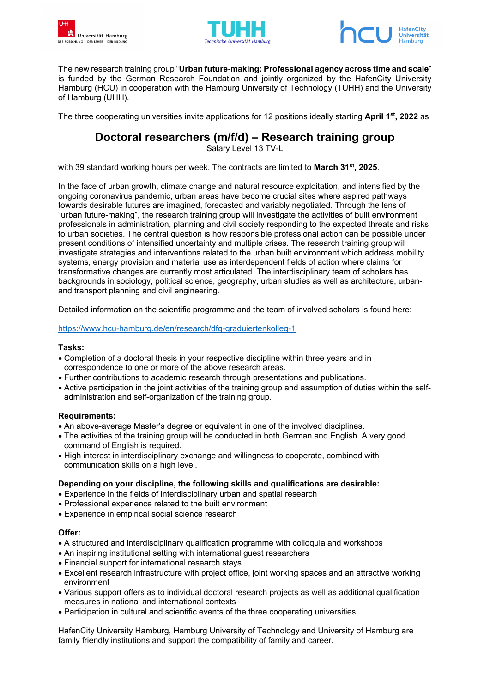





The new research training group "**Urban future-making: Professional agency across time and scale**" is funded by the German Research Foundation and jointly organized by the HafenCity University Hamburg (HCU) in cooperation with the Hamburg University of Technology (TUHH) and the University of Hamburg (UHH).

The three cooperating universities invite applications for 12 positions ideally starting **April 1st, 2022** as

## **Doctoral researchers (m/f/d) – Research training group**

Salary Level 13 TV-L

with 39 standard working hours per week. The contracts are limited to **March 31st, 2025**.

In the face of urban growth, climate change and natural resource exploitation, and intensified by the ongoing coronavirus pandemic, urban areas have become crucial sites where aspired pathways towards desirable futures are imagined, forecasted and variably negotiated. Through the lens of "urban future-making", the research training group will investigate the activities of built environment professionals in administration, planning and civil society responding to the expected threats and risks to urban societies. The central question is how responsible professional action can be possible under present conditions of intensified uncertainty and multiple crises. The research training group will investigate strategies and interventions related to the urban built environment which address mobility systems, energy provision and material use as interdependent fields of action where claims for transformative changes are currently most articulated. The interdisciplinary team of scholars has backgrounds in sociology, political science, geography, urban studies as well as architecture, urbanand transport planning and civil engineering.

Detailed information on the scientific programme and the team of involved scholars is found here:

### https://www.hcu-hamburg.de/en/research/dfg-graduiertenkolleg-1

### **Tasks:**

- Completion of a doctoral thesis in your respective discipline within three years and in correspondence to one or more of the above research areas.
- Further contributions to academic research through presentations and publications.
- Active participation in the joint activities of the training group and assumption of duties within the selfadministration and self-organization of the training group.

### **Requirements:**

- An above-average Master's degree or equivalent in one of the involved disciplines.
- The activities of the training group will be conducted in both German and English. A very good command of English is required.
- High interest in interdisciplinary exchange and willingness to cooperate, combined with communication skills on a high level.

### **Depending on your discipline, the following skills and qualifications are desirable:**

- Experience in the fields of interdisciplinary urban and spatial research
- Professional experience related to the built environment
- Experience in empirical social science research

### **Offer:**

- A structured and interdisciplinary qualification programme with colloquia and workshops
- An inspiring institutional setting with international guest researchers
- Financial support for international research stays
- Excellent research infrastructure with project office, joint working spaces and an attractive working environment
- Various support offers as to individual doctoral research projects as well as additional qualification measures in national and international contexts
- Participation in cultural and scientific events of the three cooperating universities

HafenCity University Hamburg, Hamburg University of Technology and University of Hamburg are family friendly institutions and support the compatibility of family and career.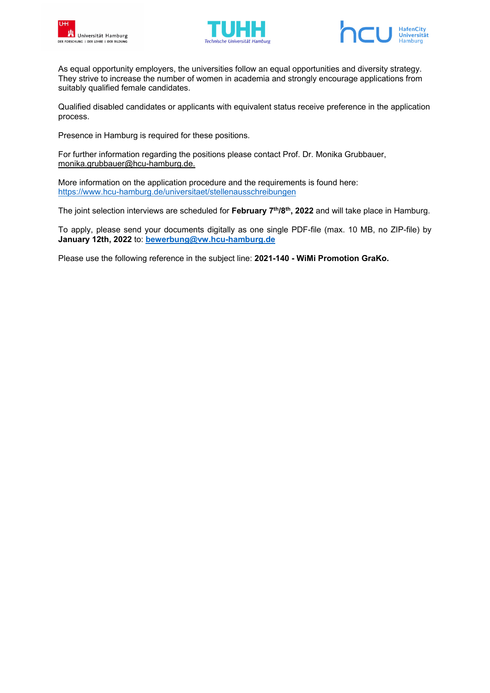





As equal opportunity employers, the universities follow an equal opportunities and diversity strategy. They strive to increase the number of women in academia and strongly encourage applications from suitably qualified female candidates.

Qualified disabled candidates or applicants with equivalent status receive preference in the application process.

Presence in Hamburg is required for these positions.

For further information regarding the positions please contact Prof. Dr. Monika Grubbauer, monika.grubbauer@hcu-hamburg.de.

More information on the application procedure and the requirements is found here: https://www.hcu-hamburg.de/universitaet/stellenausschreibungen

The joint selection interviews are scheduled for **February 7th/8th, 2022** and will take place in Hamburg.

To apply, please send your documents digitally as one single PDF-file (max. 10 MB, no ZIP-file) by **January 12th, 2022** to: **bewerbung@vw.hcu-hamburg.de** 

Please use the following reference in the subject line: **2021-140 - WiMi Promotion GraKo.**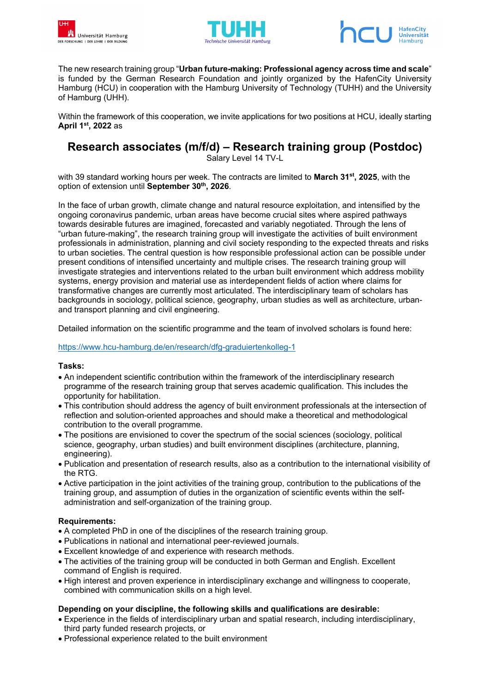





The new research training group "**Urban future-making: Professional agency across time and scale**" is funded by the German Research Foundation and jointly organized by the HafenCity University Hamburg (HCU) in cooperation with the Hamburg University of Technology (TUHH) and the University of Hamburg (UHH).

Within the framework of this cooperation, we invite applications for two positions at HCU, ideally starting **April 1st, 2022** as

# **Research associates (m/f/d) – Research training group (Postdoc)**

Salary Level 14 TV-L

with 39 standard working hours per week. The contracts are limited to **March 31st, 2025**, with the option of extension until **September 30th, 2026**.

In the face of urban growth, climate change and natural resource exploitation, and intensified by the ongoing coronavirus pandemic, urban areas have become crucial sites where aspired pathways towards desirable futures are imagined, forecasted and variably negotiated. Through the lens of "urban future-making", the research training group will investigate the activities of built environment professionals in administration, planning and civil society responding to the expected threats and risks to urban societies. The central question is how responsible professional action can be possible under present conditions of intensified uncertainty and multiple crises. The research training group will investigate strategies and interventions related to the urban built environment which address mobility systems, energy provision and material use as interdependent fields of action where claims for transformative changes are currently most articulated. The interdisciplinary team of scholars has backgrounds in sociology, political science, geography, urban studies as well as architecture, urbanand transport planning and civil engineering.

Detailed information on the scientific programme and the team of involved scholars is found here:

## https://www.hcu-hamburg.de/en/research/dfg-graduiertenkolleg-1

## **Tasks:**

- An independent scientific contribution within the framework of the interdisciplinary research programme of the research training group that serves academic qualification. This includes the opportunity for habilitation.
- This contribution should address the agency of built environment professionals at the intersection of reflection and solution-oriented approaches and should make a theoretical and methodological contribution to the overall programme.
- The positions are envisioned to cover the spectrum of the social sciences (sociology, political science, geography, urban studies) and built environment disciplines (architecture, planning, engineering).
- Publication and presentation of research results, also as a contribution to the international visibility of the RTG.
- Active participation in the joint activities of the training group, contribution to the publications of the training group, and assumption of duties in the organization of scientific events within the selfadministration and self-organization of the training group.

## **Requirements:**

- A completed PhD in one of the disciplines of the research training group.
- Publications in national and international peer-reviewed journals.
- Excellent knowledge of and experience with research methods.
- The activities of the training group will be conducted in both German and English. Excellent command of English is required.
- High interest and proven experience in interdisciplinary exchange and willingness to cooperate, combined with communication skills on a high level.

### **Depending on your discipline, the following skills and qualifications are desirable:**

- Experience in the fields of interdisciplinary urban and spatial research, including interdisciplinary, third party funded research projects, or
- Professional experience related to the built environment